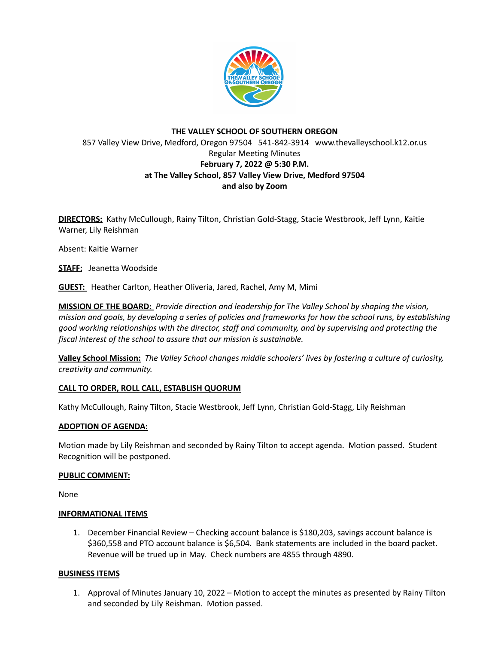

# **THE VALLEY SCHOOL OF SOUTHERN OREGON** 857 Valley View Drive, Medford, Oregon 97504 541-842-3914 www.thevalleyschool.k12.or.us Regular Meeting Minutes **February 7, 2022 @ 5:30 P.M. at The Valley School, 857 Valley View Drive, Medford 97504 and also by Zoom**

**DIRECTORS:** Kathy McCullough, Rainy Tilton, Christian Gold-Stagg, Stacie Westbrook, Jeff Lynn, Kaitie Warner, Lily Reishman

Absent: Kaitie Warner

**STAFF:** Jeanetta Woodside

**GUEST:** Heather Carlton, Heather Oliveria, Jared, Rachel, Amy M, Mimi

**MISSION OF THE BOARD:** *Provide direction and leadership for The Valley School by shaping the vision,* mission and goals, by developing a series of policies and frameworks for how the school runs, by establishing *good working relationships with the director, staff and community, and by supervising and protecting the fiscal interest of the school to assure that our mission is sustainable.*

**Valley School Mission:** *The Valley School changes middle schoolers' lives by fostering a culture of curiosity, creativity and community.*

### **CALL TO ORDER, ROLL CALL, ESTABLISH QUORUM**

Kathy McCullough, Rainy Tilton, Stacie Westbrook, Jeff Lynn, Christian Gold-Stagg, Lily Reishman

### **ADOPTION OF AGENDA:**

Motion made by Lily Reishman and seconded by Rainy Tilton to accept agenda. Motion passed. Student Recognition will be postponed.

### **PUBLIC COMMENT:**

None

### **INFORMATIONAL ITEMS**

1. December Financial Review – Checking account balance is \$180,203, savings account balance is \$360,558 and PTO account balance is \$6,504. Bank statements are included in the board packet. Revenue will be trued up in May. Check numbers are 4855 through 4890.

### **BUSINESS ITEMS**

1. Approval of Minutes January 10, 2022 – Motion to accept the minutes as presented by Rainy Tilton and seconded by Lily Reishman. Motion passed.